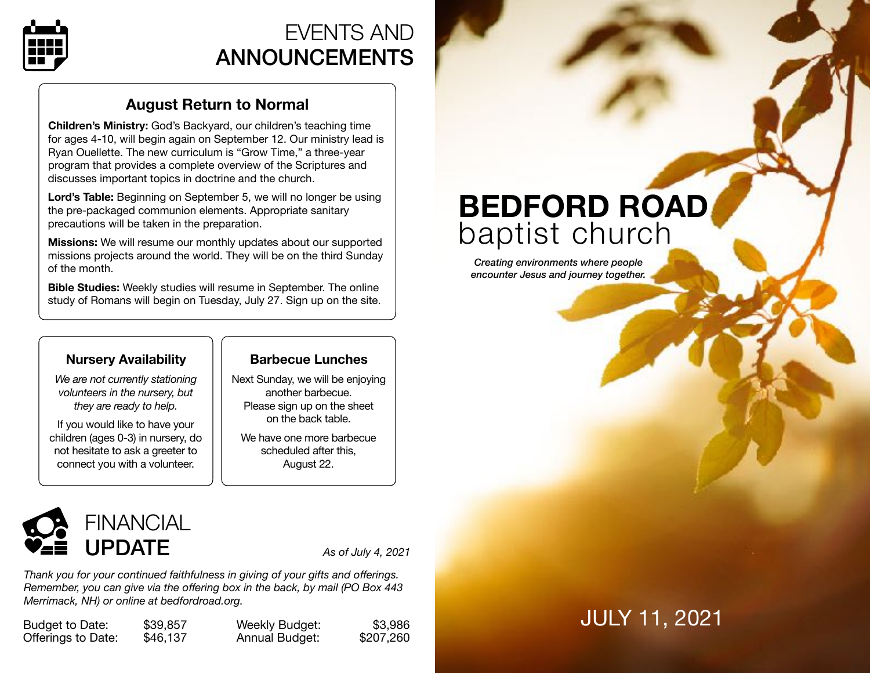

# EVENTS AND ANNOUNCEMENTS

## **August Return to Normal**

**Children's Ministry:** God's Backyard, our children's teaching time for ages 4-10, will begin again on September 12. Our ministry lead is Ryan Ouellette. The new curriculum is "Grow Time," a three-year program that provides a complete overview of the Scriptures and discusses important topics in doctrine and the church.

**Lord's Table:** Beginning on September 5, we will no longer be using the pre-packaged communion elements. Appropriate sanitary precautions will be taken in the preparation.

**Missions:** We will resume our monthly updates about our supported missions projects around the world. They will be on the third Sunday of the month.

**Bible Studies:** Weekly studies will resume in September. The online study of Romans will begin on Tuesday, July 27. Sign up on the site.

## **Nursery Availability**

*We are not currently stationing volunteers in the nursery, but they are ready to help.* 

If you would like to have your children (ages 0-3) in nursery, do not hesitate to ask a greeter to connect you with a volunteer.

## **Barbecue Lunches**

Next Sunday, we will be enjoying another barbecue. Please sign up on the sheet on the back table.

We have one more barbecue scheduled after this, August 22.



*Thank you for your continued faithfulness in giving of your gifts and offerings. Remember, you can give via the offering box in the back, by mail (PO Box 443 Merrimack, NH) or online at [bedfordroad.org.](http://bedfordroad.org)*

Budget to Date: \$39,857 Offerings to Date: \$46,137 Weekly Budget: \$3,986 Annual Budget: \$207,260

# **BEDFORD ROAD**  baptist church

*Creating environments where people encounter Jesus and journey together.*

# JULY 11, 2021